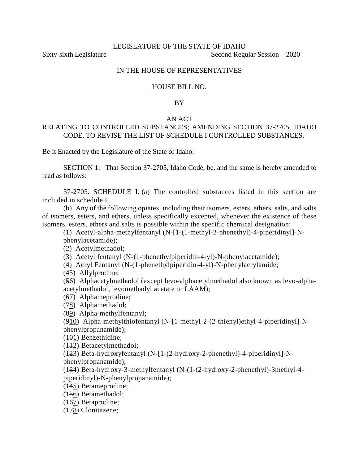# IN THE HOUSE OF REPRESENTATIVES

# HOUSE BILL NO.

# BY

## AN ACT

# RELATING TO CONTROLLED SUBSTANCES; AMENDING SECTION 37-2705, IDAHO CODE, TO REVISE THE LIST OF SCHEDULE I CONTROLLED SUBSTANCES.

Be It Enacted by the Legislature of the State of Idaho:

SECTION 1: That Section 37-2705, Idaho Code, be, and the same is hereby amended to read as follows:

37-2705. SCHEDULE I. (a) The controlled substances listed in this section are included in schedule I.

(b) Any of the following opiates, including their isomers, esters, ethers, salts, and salts of isomers, esters, and ethers, unless specifically excepted, whenever the existence of these isomers, esters, ethers and salts is possible within the specific chemical designation:

(1) Acetyl-alpha-methylfentanyl (N-[1-(1-methyl-2-phenethyl)-4-piperidinyl]-N-

phenylacetamide);

(2) Acetylmethadol;

(3) Acetyl fentanyl (N-(1-phenethylpiperidin-4-yl)-N-phenylacetamide);

(4) Acryl Fentanyl (N-(1-phenethylpiperidin-4-yl)-N-phenylacrylamide;

(45) Allylprodine;

(56) Alphacetylmethadol (except levo-alphacetylmethadol also known as levo-alphaacetylmethadol, levomethadyl acetate or LAAM);

(67) Alphameprodine;

(78) Alphamethadol;

(89) Alpha-methylfentanyl;

(910) Alpha-methylthiofentanyl (N-[1-methyl-2-(2-thienyl)ethyl-4-piperidinyl]-Nphenylpropanamide);

(101) Benzethidine;

(112) Betacetylmethadol;

(123) Beta-hydroxyfentanyl (N-[1-(2-hydroxy-2-phenethyl)-4-piperidinyl]-Nphenylpropanamide);

(134) Beta-hydroxy-3-methylfentanyl (N-(1-(2-hydroxy-2-phenethyl)-3methyl-4 piperidinyl)-N-phenylpropanamide);

(145) Betameprodine;

(156) Betamethadol;

(167) Betaprodine;

(178) Clonitazene;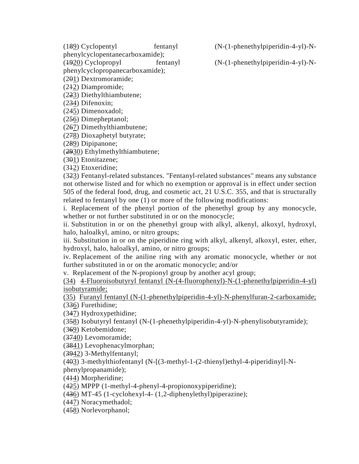phenylcyclopentanecarboxamide);

phenylcyclopropanecarboxamide);

(201) Dextromoramide;

(212) Diampromide;

(223) Diethylthiambutene;

(234) Difenoxin;

(245) Dimenoxadol;

(256) Dimepheptanol;

(267) Dimethylthiambutene;

(278) Dioxaphetyl butyrate;

(289) Dipipanone;

(2930) Ethylmethylthiambutene;

(301) Etonitazene;

(312) Etoxeridine;

(323) Fentanyl-related substances. "Fentanyl-related substances" means any substance not otherwise listed and for which no exemption or approval is in effect under section 505 of the federal food, drug, and cosmetic act, 21 U.S.C. 355, and that is structurally related to fentanyl by one (1) or more of the following modifications:

i. Replacement of the phenyl portion of the phenethyl group by any monocycle, whether or not further substituted in or on the monocycle;

ii. Substitution in or on the phenethyl group with alkyl, alkenyl, alkoxyl, hydroxyl, halo, haloalkyl, amino, or nitro groups;

iii. Substitution in or on the piperidine ring with alkyl, alkenyl, alkoxyl, ester, ether, hydroxyl, halo, haloalkyl, amino, or nitro groups;

iv. Replacement of the aniline ring with any aromatic monocycle, whether or not further substituted in or on the aromatic monocycle; and/or

v. Replacement of the N-propionyl group by another acyl group;

(34) 4-Fluoroisobutyryl fentanyl (N-(4-fluorophenyl)-N-(1-phenethylpiperidin-4-yl) isobutyramide;

(35) Furanyl fentanyl (N-(1-phenethylpiperidin-4-yl)-N-phenylfuran-2-carboxamide; (336) Furethidine;

(347) Hydroxypethidine;

(358) Isobutyryl fentanyl (N-(1-phenethylpiperidin-4-yl)-N-phenylisobutyramide);

(369) Ketobemidone;

(3740) Levomoramide;

(3841) Levophenacylmorphan;

(3942) 3-Methylfentanyl;

(403) 3-methylthiofentanyl (N-[(3-methyl-1-(2-thienyl)ethyl-4-piperidinyl]-N-

phenylpropanamide);

(414) Morpheridine;

(425) MPPP (1-methyl-4-phenyl-4-propionoxypiperidine);

(436) MT-45 (1-cyclohexyl-4- (1,2-diphenylethyl)piperazine);

(447) Noracymethadol;

(458) Norlevorphanol;

(189) Cyclopentyl fentanyl (N-(1-phenethylpiperidin-4-yl)-N-

(1920) Cyclopropyl fentanyl (N-(1-phenethylpiperidin-4-yl)-N-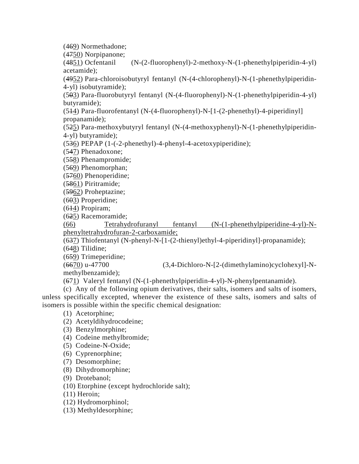(469) Normethadone;

 $(4750)$  Norpipanone;<br> $(4851)$  Ocfentanil

 $(N-(2-fluorophenyl)-2-methoxy-N-(1-phenethylpiperidin-4-yl)$ acetamide);

(4952) Para-chloroisobutyryl fentanyl (N-(4-chlorophenyl)-N-(1-phenethylpiperidin-4-yl) isobutyramide);

(503) Para-fluorobutyryl fentanyl (N-(4-fluorophenyl)-N-(1-phenethylpiperidin-4-yl) butyramide);

(514) Para-fluorofentanyl (N-(4-fluorophenyl)-N-[1-(2-phenethyl)-4-piperidinyl] propanamide);

(525) Para-methoxybutyryl fentanyl (N-(4-methoxyphenyl)-N-(1-phenethylpiperidin-4-yl) butyramide);

(536) PEPAP (1-(-2-phenethyl)-4-phenyl-4-acetoxypiperidine);

(547) Phenadoxone;

(558) Phenampromide;

(569) Phenomorphan;

(5760) Phenoperidine;

(5861) Piritramide;

(5962) Proheptazine;

(603) Properidine;

(614) Propiram;

(625) Racemoramide;

(66) Tetrahydrofuranyl fentanyl (N-(1-phenethylpiperidine-4-yl)-Nphenyltetrahydrofuran-2-carboxamide;

(637) Thiofentanyl (N-phenyl-N-[1-(2-thienyl)ethyl-4-piperidinyl]-propanamide);

(648) Tilidine;

(659) Trimeperidine;

(6670) u-47700 (3,4-Dichloro-N-[2-(dimethylamino)cyclohexyl]-Nmethylbenzamide);

(671) Valeryl fentanyl (N-(1-phenethylpiperidin-4-yl)-N-phenylpentanamide).

(c) Any of the following opium derivatives, their salts, isomers and salts of isomers, unless specifically excepted, whenever the existence of these salts, isomers and salts of isomers is possible within the specific chemical designation:

(1) Acetorphine;

- (2) Acetyldihydrocodeine;
- (3) Benzylmorphine;
- (4) Codeine methylbromide;
- (5) Codeine-N-Oxide;
- (6) Cyprenorphine;
- (7) Desomorphine;
- (8) Dihydromorphine;
- (9) Drotebanol;

(10) Etorphine (except hydrochloride salt);

(11) Heroin;

(12) Hydromorphinol;

(13) Methyldesorphine;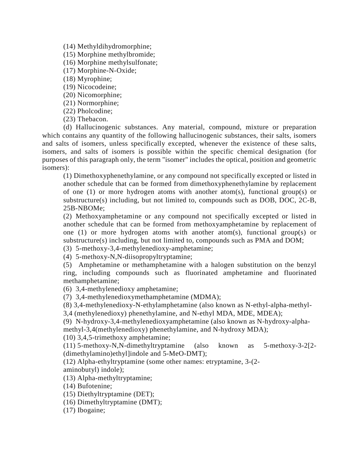(14) Methyldihydromorphine;

(15) Morphine methylbromide;

(16) Morphine methylsulfonate;

(17) Morphine-N-Oxide;

(18) Myrophine;

(19) Nicocodeine;

(20) Nicomorphine;

(21) Normorphine;

(22) Pholcodine;

(23) Thebacon.

(d) Hallucinogenic substances. Any material, compound, mixture or preparation which contains any quantity of the following hallucinogenic substances, their salts, isomers and salts of isomers, unless specifically excepted, whenever the existence of these salts, isomers, and salts of isomers is possible within the specific chemical designation (for purposes of this paragraph only, the term "isomer" includes the optical, position and geometric isomers):

(1) Dimethoxyphenethylamine, or any compound not specifically excepted or listed in another schedule that can be formed from dimethoxyphenethylamine by replacement of one (1) or more hydrogen atoms with another atom(s), functional group(s) or substructure(s) including, but not limited to, compounds such as DOB, DOC, 2C-B, 25B-NBOMe;

(2) Methoxyamphetamine or any compound not specifically excepted or listed in another schedule that can be formed from methoxyamphetamine by replacement of one (1) or more hydrogen atoms with another atom(s), functional group(s) or substructure(s) including, but not limited to, compounds such as PMA and DOM;

(3) 5-methoxy-3,4-methylenedioxy-amphetamine;

(4) 5-methoxy-N,N-diisopropyltryptamine;

(5) Amphetamine or methamphetamine with a halogen substitution on the benzyl ring, including compounds such as fluorinated amphetamine and fluorinated methamphetamine;

(6) 3,4-methylenedioxy amphetamine;

(7) 3,4-methylenedioxymethamphetamine (MDMA);

(8) 3,4-methylenedioxy-N-ethylamphetamine (also known as N-ethyl-alpha-methyl-

3,4 (methylenedioxy) phenethylamine, and N-ethyl MDA, MDE, MDEA);

(9) N-hydroxy-3,4-methylenedioxyamphetamine (also known as N-hydroxy-alpha-

methyl-3,4(methylenedioxy) phenethylamine, and N-hydroxy MDA);

(10) 3,4,5-trimethoxy amphetamine;

(11) 5-methoxy-N,N-dimethyltryptamine (also known as 5-methoxy-3-2[2- (dimethylamino)ethyl]indole and 5-MeO-DMT);

(12) Alpha-ethyltryptamine (some other names: etryptamine, 3-(2 aminobutyl) indole);

(13) Alpha-methyltryptamine;

(14) Bufotenine;

(15) Diethyltryptamine (DET);

(16) Dimethyltryptamine (DMT);

(17) Ibogaine;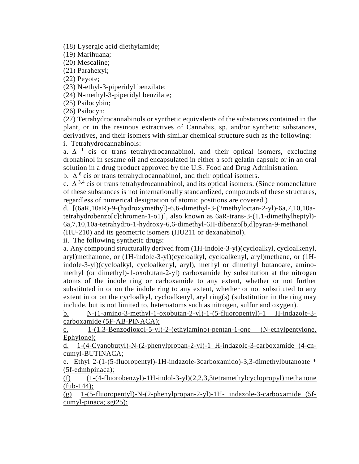(18) Lysergic acid diethylamide;

(19) Marihuana;

(20) Mescaline;

(21) Parahexyl;

(22) Peyote;

(23) N-ethyl-3-piperidyl benzilate;

(24) N-methyl-3-piperidyl benzilate;

(25) Psilocybin;

(26) Psilocyn;

(27) Tetrahydrocannabinols or synthetic equivalents of the substances contained in the plant, or in the resinous extractives of Cannabis, sp. and/or synthetic substances, derivatives, and their isomers with similar chemical structure such as the following: i. Tetrahydrocannabinols:

a.  $\Delta^{-1}$  cis or trans tetrahydrocannabinol, and their optical isomers, excluding dronabinol in sesame oil and encapsulated in either a soft gelatin capsule or in an oral solution in a drug product approved by the U.S. Food and Drug Administration.

b.  $\Delta^{6}$  cis or trans tetrahydrocannabinol, and their optical isomers.

c.  $\Delta^{3,4}$  cis or trans tetrahydrocannabinol, and its optical isomers. (Since nomenclature of these substances is not internationally standardized, compounds of these structures, regardless of numerical designation of atomic positions are covered.)

d. [(6aR,10aR)-9-(hydroxymethyl)-6,6-dimethyl-3-(2methyloctan-2-yl)-6a,7,10,10atetrahydrobenzo[c]chromen-1-o1)], also known as 6aR-trans-3-(1,1-dimethylheptyl)- 6a,7,10,10a-tetrahydro-1-hydroxy-6,6-dimethyl-6H-dibenzo[b,d]pyran-9-methanol (HU-210) and its geometric isomers (HU211 or dexanabinol).

ii. The following synthetic drugs:

a. Any compound structurally derived from (1H-indole-3-yl)(cycloalkyl, cycloalkenyl, aryl)methanone, or (1H-indole-3-yl)(cycloalkyl, cycloalkenyl, aryl)methane, or (1Hindole-3-yl)(cycloalkyl, cycloalkenyl, aryl), methyl or dimethyl butanoate, aminomethyl (or dimethyl)-1-oxobutan-2-yl) carboxamide by substitution at the nitrogen atoms of the indole ring or carboxamide to any extent, whether or not further substituted in or on the indole ring to any extent, whether or not substituted to any extent in or on the cycloalkyl, cycloalkenyl, aryl ring(s) (substitution in the ring may include, but is not limited to, heteroatoms such as nitrogen, sulfur and oxygen).

b. N-(1-amino-3-methyl-1-oxobutan-2-yl)-1-(5-fluoropentyl)-1 H-indazole-3 carboxamide (5F-AB-PINACA);

c. 1-(1.3-Benzodioxol-5-yl)-2-(ethylamino)-pentan-1-one (N-ethylpentylone, Ephylone);

d. 1-(4-Cyanobutyl)-N-(2-phenylpropan-2-yl)-1 H-indazole-3-carboxamide (4-cncumyl-BUTINACA;

e. Ethyl 2-(1-(5-fluoropentyl)-1H-indazole-3carboxamido)-3,3-dimethylbutanoate \* (5f-edmbpinaca);

 $(f)$  (1-(4-fluorobenzyl)-1H-indol-3-yl)(2,2,3,3tetramethylcyclopropyl)methanone  $(fub-144);$ 

(g) 1-(5-fluoropentyl)-N-(2-phenylpropan-2-yl)-1H- indazole-3-carboxamide (5fcumyl-pinaca; sgt25);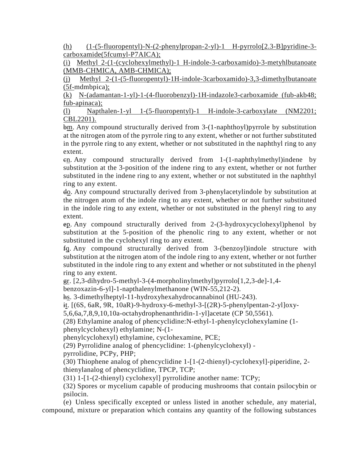(h)  $(1-(5-fluoropently)-N-(2-phenylpropan-2-yl)-1$  H-pyrrolo[2.3-B]pyridine-3carboxamide(5fcumyl-P7AICA);

(i) Methyl 2-(1-(cyclohexylmethyl)-1 H-indole-3-carboxamido)-3-metyhlbutanoate (MMB-CHMICA, AMB-CHMICA);

(j) Methyl 2-(1-(5-fluoropentyl)-1H-indole-3carboxamido)-3,3-dimethylbutanoate (5f-mdmbpica);

(k) N-(adamantan-1-yl)-1-(4-fluorobenzyl)-1H-indazole3-carboxamide (fub-akb48; fub-apinaca);

(l) Napthalen-1-yl 1-(5-fluoropentyl)-1 H-indole-3-carboxylate (NM2201; CBL2201).

bm. Any compound structurally derived from 3-(1-naphthoyl)pyrrole by substitution at the nitrogen atom of the pyrrole ring to any extent, whether or not further substituted in the pyrrole ring to any extent, whether or not substituted in the naphthyl ring to any extent.

cn. Any compound structurally derived from 1-(1-naphthylmethyl)indene by substitution at the 3-position of the indene ring to any extent, whether or not further substituted in the indene ring to any extent, whether or not substituted in the naphthyl ring to any extent.

do. Any compound structurally derived from 3-phenylacetylindole by substitution at the nitrogen atom of the indole ring to any extent, whether or not further substituted in the indole ring to any extent, whether or not substituted in the phenyl ring to any extent.

ep. Any compound structurally derived from 2-(3-hydroxycyclohexyl)phenol by substitution at the 5-position of the phenolic ring to any extent, whether or not substituted in the cyclohexyl ring to any extent.

fq. Any compound structurally derived from 3-(benzoyl)indole structure with substitution at the nitrogen atom of the indole ring to any extent, whether or not further substituted in the indole ring to any extent and whether or not substituted in the phenyl ring to any extent.

 $g_r$ . [2,3-dihydro-5-methyl-3-(4-morpholinylmethyl)pyrrolo[1,2,3-de]-1,4-

benzoxazin-6-yl]-1-napthalenylmethanone (WIN-55,212-2).

hs. 3-dimethylheptyl-11-hydroxyhexahydrocannabinol (HU-243).

it. [(6S, 6aR, 9R, 10aR)-9-hydroxy-6-methyl-3-[(2R)-5-phenylpentan-2-yl]oxy-

5,6,6a,7,8,9,10,10a-octahydrophenanthridin-1-yl]acetate (CP 50,5561).

(28) Ethylamine analog of phencyclidine:N-ethyl-1-phenylcyclohexylamine (1 phenylcyclohexyl) ethylamine; N-(1-

phenylcyclohexyl) ethylamine, cyclohexamine, PCE;

(29) Pyrrolidine analog of phencyclidine: 1-(phenylcyclohexyl) -

pyrrolidine, PCPy, PHP;

(30) Thiophene analog of phencyclidine 1-[1-(2-thienyl)-cyclohexyl]-piperidine, 2 thienylanalog of phencyclidine, TPCP, TCP;

(31) 1-[1-(2-thienyl) cyclohexyl] pyrrolidine another name: TCPy;

(32) Spores or mycelium capable of producing mushrooms that contain psilocybin or psilocin.

(e) Unless specifically excepted or unless listed in another schedule, any material, compound, mixture or preparation which contains any quantity of the following substances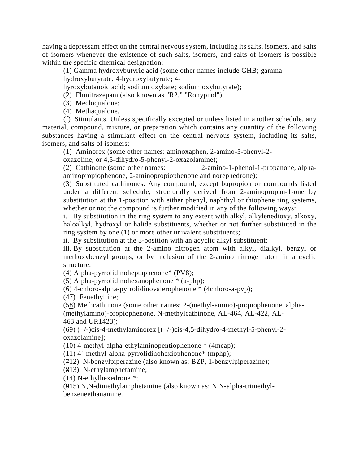having a depressant effect on the central nervous system, including its salts, isomers, and salts of isomers whenever the existence of such salts, isomers, and salts of isomers is possible within the specific chemical designation:

(1) Gamma hydroxybutyric acid (some other names include GHB; gammahydroxybutyrate, 4-hydroxybutyrate; 4-

hyroxybutanoic acid; sodium oxybate; sodium oxybutyrate);

(2) Flunitrazepam (also known as "R2," "Rohypnol");

- (3) Mecloqualone;
- (4) Methaqualone.

(f) Stimulants. Unless specifically excepted or unless listed in another schedule, any material, compound, mixture, or preparation which contains any quantity of the following substances having a stimulant effect on the central nervous system, including its salts, isomers, and salts of isomers:

(1) Aminorex (some other names: aminoxaphen, 2-amino-5-phenyl-2-

oxazoline, or 4,5-dihydro-5-phenyl-2-oxazolamine);

(2) Cathinone (some other names: 2-amino-1-phenol-1-propanone, alphaaminopropiophenone, 2-aminopropiophenone and norephedrone);

(3) Substituted cathinones. Any compound, except bupropion or compounds listed under a different schedule, structurally derived from 2-aminopropan-1-one by substitution at the 1-position with either phenyl, naphthyl or thiophene ring systems, whether or not the compound is further modified in any of the following ways:

i. By substitution in the ring system to any extent with alkyl, alkylenedioxy, alkoxy, haloalkyl, hydroxyl or halide substituents, whether or not further substituted in the ring system by one (1) or more other univalent substituents;

ii. By substitution at the 3-position with an acyclic alkyl substituent;

iii. By substitution at the 2-amino nitrogen atom with alkyl, dialkyl, benzyl or methoxybenzyl groups, or by inclusion of the 2-amino nitrogen atom in a cyclic structure.

(4) Alpha-pyrrolidinoheptaphenone\* (PV8);

(5) Alpha-pyrrolidinohexanophenone \* (a-php);

(6) 4-chloro-alpha-pyrrolidinovalerophenone \* (4chloro-a-pvp);

(47) Fenethylline;

(58) Methcathinone (some other names: 2-(methyl-amino)-propiophenone, alpha- (methylamino)-propiophenone, N-methylcathinone, AL-464, AL-422, AL-463 and UR1423);

(69) (+/-)cis-4-methylaminorex [(+/-)cis-4,5-dihydro-4-methyl-5-phenyl-2 oxazolamine];

(10) 4-methyl-alpha-ethylaminopentiophenone \* (4meap);

(11) 4´-methyl-alpha-pyrrolidinohexiophenone\* (mphp);

(712) N-benzylpiperazine (also known as: BZP, 1-benzylpiperazine);

(813) N-ethylamphetamine;

(14) N-ethylhexedrone \*;

(915) N,N-dimethylamphetamine (also known as: N,N-alpha-trimethylbenzeneethanamine.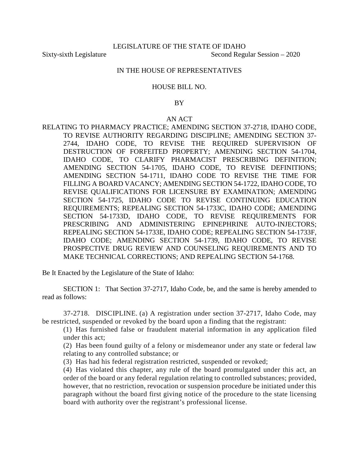### IN THE HOUSE OF REPRESENTATIVES

#### HOUSE BILL NO.

## BY

## AN ACT

RELATING TO PHARMACY PRACTICE; AMENDING SECTION 37-2718, IDAHO CODE, TO REVISE AUTHORITY REGARDING DISCIPLINE; AMENDING SECTION 37- 2744, IDAHO CODE, TO REVISE THE REQUIRED SUPERVISION OF DESTRUCTION OF FORFEITED PROPERTY; AMENDING SECTION 54-1704, IDAHO CODE, TO CLARIFY PHARMACIST PRESCRIBING DEFINITION; AMENDING SECTION 54-1705, IDAHO CODE, TO REVISE DEFINITIONS; AMENDING SECTION 54-1711, IDAHO CODE TO REVISE THE TIME FOR FILLING A BOARD VACANCY; AMENDING SECTION 54-1722, IDAHO CODE, TO REVISE QUALIFICATIONS FOR LICENSURE BY EXAMINATION; AMENDING SECTION 54-1725, IDAHO CODE TO REVISE CONTINUING EDUCATION REQUIREMENTS; REPEALING SECTION 54-1733C, IDAHO CODE; AMENDING SECTION 54-1733D, IDAHO CODE, TO REVISE REQUIREMENTS FOR PRESCRIBING AND ADMINISTERING EPINEPHRINE AUTO-INJECTORS; REPEALING SECTION 54-1733E, IDAHO CODE; REPEALING SECTION 54-1733F, IDAHO CODE; AMENDING SECTION 54-1739, IDAHO CODE, TO REVISE PROSPECTIVE DRUG REVIEW AND COUNSELING REQUIREMENTS AND TO MAKE TECHNICAL CORRECTIONS; AND REPEALING SECTION 54-1768.

Be It Enacted by the Legislature of the State of Idaho:

SECTION 1: That Section 37-2717, Idaho Code, be, and the same is hereby amended to read as follows:

37-2718. DISCIPLINE. (a) A registration under section [37-2717,](https://legislature.idaho.gov/statutesrules/idstat/Title37/T37CH27/SECT37-2717) Idaho Code, may be restricted, suspended or revoked by the board upon a finding that the registrant:

(1) Has furnished false or fraudulent material information in any application filed under this act;

(2) Has been found guilty of a felony or misdemeanor under any state or federal law relating to any controlled substance; or

(3) Has had his federal registration restricted, suspended or revoked;

(4) Has violated this chapter, any rule of the board promulgated under this act, an order of the board or any federal regulation relating to controlled substances; provided, however, that no restriction, revocation or suspension procedure be initiated under this paragraph without the board first giving notice of the procedure to the state licensing board with authority over the registrant's professional license.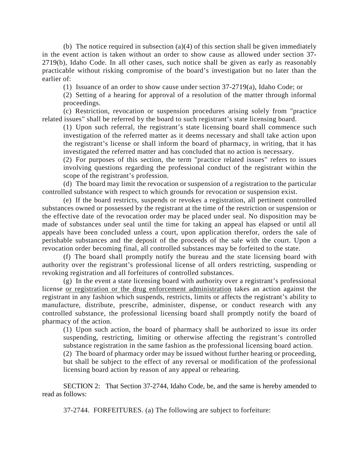(b) The notice required in subsection (a)(4) of this section shall be given immediately in the event action is taken without an order to show cause as allowed under section [37-](https://legislature.idaho.gov/statutesrules/idstat/Title37/T37CH27/SECT37-2719) [2719\(](https://legislature.idaho.gov/statutesrules/idstat/Title37/T37CH27/SECT37-2719)b), Idaho Code. In all other cases, such notice shall be given as early as reasonably practicable without risking compromise of the board's investigation but no later than the earlier of:

(1) Issuance of an order to show cause under section [37-2719\(](https://legislature.idaho.gov/statutesrules/idstat/Title37/T37CH27/SECT37-2719)a), Idaho Code; or

(2) Setting of a hearing for approval of a resolution of the matter through informal proceedings.

(c) Restriction, revocation or suspension procedures arising solely from "practice related issues" shall be referred by the board to such registrant's state licensing board.

(1) Upon such referral, the registrant's state licensing board shall commence such investigation of the referred matter as it deems necessary and shall take action upon the registrant's license or shall inform the board of pharmacy, in writing, that it has investigated the referred matter and has concluded that no action is necessary.

(2) For purposes of this section, the term "practice related issues" refers to issues involving questions regarding the professional conduct of the registrant within the scope of the registrant's profession.

(d) The board may limit the revocation or suspension of a registration to the particular controlled substance with respect to which grounds for revocation or suspension exist.

(e) If the board restricts, suspends or revokes a registration, all pertinent controlled substances owned or possessed by the registrant at the time of the restriction or suspension or the effective date of the revocation order may be placed under seal. No disposition may be made of substances under seal until the time for taking an appeal has elapsed or until all appeals have been concluded unless a court, upon application therefor, orders the sale of perishable substances and the deposit of the proceeds of the sale with the court. Upon a revocation order becoming final, all controlled substances may be forfeited to the state.

(f) The board shall promptly notify the bureau and the state licensing board with authority over the registrant's professional license of all orders restricting, suspending or revoking registration and all forfeitures of controlled substances.

(g) In the event a state licensing board with authority over a registrant's professional license or registration or the drug enforcement administration takes an action against the registrant in any fashion which suspends, restricts, limits or affects the registrant's ability to manufacture, distribute, prescribe, administer, dispense, or conduct research with any controlled substance, the professional licensing board shall promptly notify the board of pharmacy of the action.

(1) Upon such action, the board of pharmacy shall be authorized to issue its order suspending, restricting, limiting or otherwise affecting the registrant's controlled substance registration in the same fashion as the professional licensing board action.

(2) The board of pharmacy order may be issued without further hearing or proceeding, but shall be subject to the effect of any reversal or modification of the professional licensing board action by reason of any appeal or rehearing.

SECTION 2: That Section 37-2744, Idaho Code, be, and the same is hereby amended to read as follows:

37-2744. FORFEITURES. (a) The following are subject to forfeiture: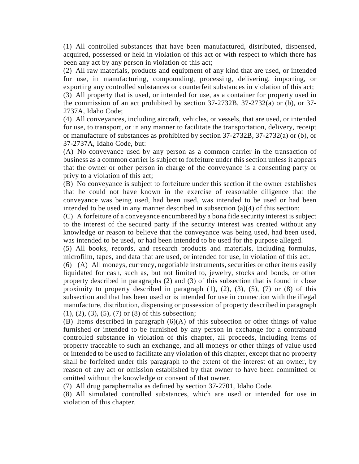(1) All controlled substances that have been manufactured, distributed, dispensed, acquired, possessed or held in violation of this act or with respect to which there has been any act by any person in violation of this act;

(2) All raw materials, products and equipment of any kind that are used, or intended for use, in manufacturing, compounding, processing, delivering, importing, or exporting any controlled substances or counterfeit substances in violation of this act; (3) All property that is used, or intended for use, as a container for property used in

the commission of an act prohibited by section [37-2732B,](https://legislature.idaho.gov/statutesrules/idstat/Title37/T37CH27/SECT37-2732B) [37-2732\(](https://legislature.idaho.gov/statutesrules/idstat/Title37/T37CH27/SECT37-2732)a) or (b), or [37-](https://legislature.idaho.gov/statutesrules/idstat/Title37/T37CH27/SECT37-2737A) [2737A,](https://legislature.idaho.gov/statutesrules/idstat/Title37/T37CH27/SECT37-2737A) Idaho Code;

(4) All conveyances, including aircraft, vehicles, or vessels, that are used, or intended for use, to transport, or in any manner to facilitate the transportation, delivery, receipt or manufacture of substances as prohibited by section [37-2732B,](https://legislature.idaho.gov/statutesrules/idstat/Title37/T37CH27/SECT37-2732B) [37-2732\(](https://legislature.idaho.gov/statutesrules/idstat/Title37/T37CH27/SECT37-2732)a) or (b), or [37-2737A,](https://legislature.idaho.gov/statutesrules/idstat/Title37/T37CH27/SECT37-2737A) Idaho Code, but:

(A) No conveyance used by any person as a common carrier in the transaction of business as a common carrier is subject to forfeiture under this section unless it appears that the owner or other person in charge of the conveyance is a consenting party or privy to a violation of this act;

(B) No conveyance is subject to forfeiture under this section if the owner establishes that he could not have known in the exercise of reasonable diligence that the conveyance was being used, had been used, was intended to be used or had been intended to be used in any manner described in subsection  $(a)(4)$  of this section;

(C) A forfeiture of a conveyance encumbered by a bona fide security interest is subject to the interest of the secured party if the security interest was created without any knowledge or reason to believe that the conveyance was being used, had been used, was intended to be used, or had been intended to be used for the purpose alleged.

(5) All books, records, and research products and materials, including formulas, microfilm, tapes, and data that are used, or intended for use, in violation of this act.

(6) (A) All moneys, currency, negotiable instruments, securities or other items easily liquidated for cash, such as, but not limited to, jewelry, stocks and bonds, or other property described in paragraphs (2) and (3) of this subsection that is found in close proximity to property described in paragraph  $(1)$ ,  $(2)$ ,  $(3)$ ,  $(5)$ ,  $(7)$  or  $(8)$  of this subsection and that has been used or is intended for use in connection with the illegal manufacture, distribution, dispensing or possession of property described in paragraph (1), (2), (3), (5), (7) or (8) of this subsection;

(B) Items described in paragraph (6)(A) of this subsection or other things of value furnished or intended to be furnished by any person in exchange for a contraband controlled substance in violation of this chapter, all proceeds, including items of property traceable to such an exchange, and all moneys or other things of value used or intended to be used to facilitate any violation of this chapter, except that no property shall be forfeited under this paragraph to the extent of the interest of an owner, by reason of any act or omission established by that owner to have been committed or omitted without the knowledge or consent of that owner.

(7) All drug paraphernalia as defined by section [37-2701,](https://legislature.idaho.gov/statutesrules/idstat/Title37/T37CH27/SECT37-2701) Idaho Code.

(8) All simulated controlled substances, which are used or intended for use in violation of this chapter.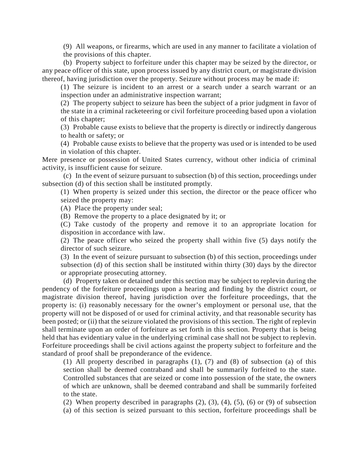(9) All weapons, or firearms, which are used in any manner to facilitate a violation of the provisions of this chapter.

(b) Property subject to forfeiture under this chapter may be seized by the director, or any peace officer of this state, upon process issued by any district court, or magistrate division thereof, having jurisdiction over the property. Seizure without process may be made if:

(1) The seizure is incident to an arrest or a search under a search warrant or an inspection under an administrative inspection warrant;

(2) The property subject to seizure has been the subject of a prior judgment in favor of the state in a criminal racketeering or civil forfeiture proceeding based upon a violation of this chapter;

(3) Probable cause exists to believe that the property is directly or indirectly dangerous to health or safety; or

(4) Probable cause exists to believe that the property was used or is intended to be used in violation of this chapter.

Mere presence or possession of United States currency, without other indicia of criminal activity, is insufficient cause for seizure.

(c) In the event of seizure pursuant to subsection (b) of this section, proceedings under subsection (d) of this section shall be instituted promptly.

(1) When property is seized under this section, the director or the peace officer who seized the property may:

(A) Place the property under seal;

(B) Remove the property to a place designated by it; or

(C) Take custody of the property and remove it to an appropriate location for disposition in accordance with law.

(2) The peace officer who seized the property shall within five (5) days notify the director of such seizure.

(3) In the event of seizure pursuant to subsection (b) of this section, proceedings under subsection (d) of this section shall be instituted within thirty (30) days by the director or appropriate prosecuting attorney.

(d) Property taken or detained under this section may be subject to replevin during the pendency of the forfeiture proceedings upon a hearing and finding by the district court, or magistrate division thereof, having jurisdiction over the forfeiture proceedings, that the property is: (i) reasonably necessary for the owner's employment or personal use, that the property will not be disposed of or used for criminal activity, and that reasonable security has been posted; or (ii) that the seizure violated the provisions of this section. The right of replevin shall terminate upon an order of forfeiture as set forth in this section. Property that is being held that has evidentiary value in the underlying criminal case shall not be subject to replevin. Forfeiture proceedings shall be civil actions against the property subject to forfeiture and the standard of proof shall be preponderance of the evidence.

(1) All property described in paragraphs (1), (7) and (8) of subsection (a) of this section shall be deemed contraband and shall be summarily forfeited to the state. Controlled substances that are seized or come into possession of the state, the owners of which are unknown, shall be deemed contraband and shall be summarily forfeited to the state.

(2) When property described in paragraphs  $(2)$ ,  $(3)$ ,  $(4)$ ,  $(5)$ ,  $(6)$  or  $(9)$  of subsection (a) of this section is seized pursuant to this section, forfeiture proceedings shall be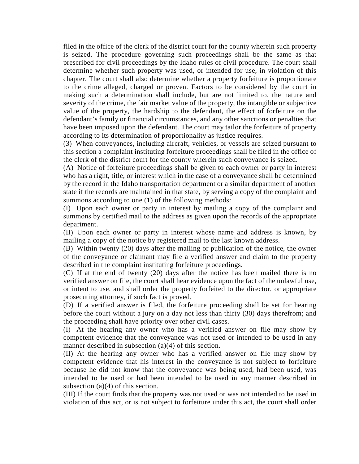filed in the office of the clerk of the district court for the county wherein such property is seized. The procedure governing such proceedings shall be the same as that prescribed for civil proceedings by the Idaho rules of civil procedure. The court shall determine whether such property was used, or intended for use, in violation of this chapter. The court shall also determine whether a property forfeiture is proportionate to the crime alleged, charged or proven. Factors to be considered by the court in making such a determination shall include, but are not limited to, the nature and severity of the crime, the fair market value of the property, the intangible or subjective value of the property, the hardship to the defendant, the effect of forfeiture on the defendant's family or financial circumstances, and any other sanctions or penalties that have been imposed upon the defendant. The court may tailor the forfeiture of property according to its determination of proportionality as justice requires.

(3) When conveyances, including aircraft, vehicles, or vessels are seized pursuant to this section a complaint instituting forfeiture proceedings shall be filed in the office of the clerk of the district court for the county wherein such conveyance is seized.

(A) Notice of forfeiture proceedings shall be given to each owner or party in interest who has a right, title, or interest which in the case of a conveyance shall be determined by the record in the Idaho transportation department or a similar department of another state if the records are maintained in that state, by serving a copy of the complaint and summons according to one (1) of the following methods:

(I) Upon each owner or party in interest by mailing a copy of the complaint and summons by certified mail to the address as given upon the records of the appropriate department.

(II) Upon each owner or party in interest whose name and address is known, by mailing a copy of the notice by registered mail to the last known address.

(B) Within twenty (20) days after the mailing or publication of the notice, the owner of the conveyance or claimant may file a verified answer and claim to the property described in the complaint instituting forfeiture proceedings.

(C) If at the end of twenty (20) days after the notice has been mailed there is no verified answer on file, the court shall hear evidence upon the fact of the unlawful use, or intent to use, and shall order the property forfeited to the director, or appropriate prosecuting attorney, if such fact is proved.

(D) If a verified answer is filed, the forfeiture proceeding shall be set for hearing before the court without a jury on a day not less than thirty (30) days therefrom; and the proceeding shall have priority over other civil cases.

(I) At the hearing any owner who has a verified answer on file may show by competent evidence that the conveyance was not used or intended to be used in any manner described in subsection (a)(4) of this section.

(II) At the hearing any owner who has a verified answer on file may show by competent evidence that his interest in the conveyance is not subject to forfeiture because he did not know that the conveyance was being used, had been used, was intended to be used or had been intended to be used in any manner described in subsection (a)(4) of this section.

(III) If the court finds that the property was not used or was not intended to be used in violation of this act, or is not subject to forfeiture under this act, the court shall order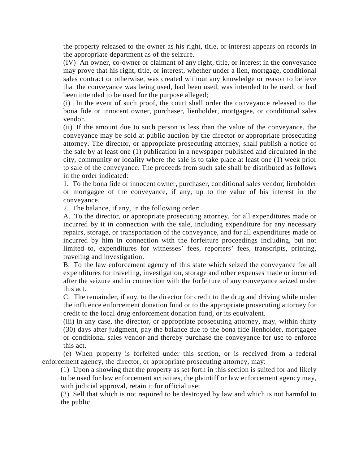the property released to the owner as his right, title, or interest appears on records in the appropriate department as of the seizure.

(IV) An owner, co-owner or claimant of any right, title, or interest in the conveyance may prove that his right, title, or interest, whether under a lien, mortgage, conditional sales contract or otherwise, was created without any knowledge or reason to believe that the conveyance was being used, had been used, was intended to be used, or had been intended to be used for the purpose alleged;

(i) In the event of such proof, the court shall order the conveyance released to the bona fide or innocent owner, purchaser, lienholder, mortgagee, or conditional sales vendor.

(ii) If the amount due to such person is less than the value of the conveyance, the conveyance may be sold at public auction by the director or appropriate prosecuting attorney. The director, or appropriate prosecuting attorney, shall publish a notice of the sale by at least one (1) publication in a newspaper published and circulated in the city, community or locality where the sale is to take place at least one (1) week prior to sale of the conveyance. The proceeds from such sale shall be distributed as follows in the order indicated:

1. To the bona fide or innocent owner, purchaser, conditional sales vendor, lienholder or mortgagee of the conveyance, if any, up to the value of his interest in the conveyance.

2. The balance, if any, in the following order:

A. To the director, or appropriate prosecuting attorney, for all expenditures made or incurred by it in connection with the sale, including expenditure for any necessary repairs, storage, or transportation of the conveyance, and for all expenditures made or incurred by him in connection with the forfeiture proceedings including, but not limited to, expenditures for witnesses' fees, reporters' fees, transcripts, printing, traveling and investigation.

B. To the law enforcement agency of this state which seized the conveyance for all expenditures for traveling, investigation, storage and other expenses made or incurred after the seizure and in connection with the forfeiture of any conveyance seized under this act.

C. The remainder, if any, to the director for credit to the drug and driving while under the influence enforcement donation fund or to the appropriate prosecuting attorney for credit to the local drug enforcement donation fund, or its equivalent.

(iii) In any case, the director, or appropriate prosecuting attorney, may, within thirty (30) days after judgment, pay the balance due to the bona fide lienholder, mortgagee or conditional sales vendor and thereby purchase the conveyance for use to enforce this act.

(e) When property is forfeited under this section, or is received from a federal enforcement agency, the director, or appropriate prosecuting attorney, may:

(1) Upon a showing that the property as set forth in this section is suited for and likely to be used for law enforcement activities, the plaintiff or law enforcement agency may, with judicial approval, retain it for official use;

(2) Sell that which is not required to be destroyed by law and which is not harmful to the public.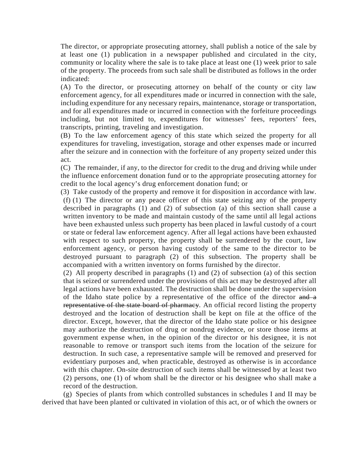The director, or appropriate prosecuting attorney, shall publish a notice of the sale by at least one (1) publication in a newspaper published and circulated in the city, community or locality where the sale is to take place at least one (1) week prior to sale of the property. The proceeds from such sale shall be distributed as follows in the order indicated:

(A) To the director, or prosecuting attorney on behalf of the county or city law enforcement agency, for all expenditures made or incurred in connection with the sale, including expenditure for any necessary repairs, maintenance, storage or transportation, and for all expenditures made or incurred in connection with the forfeiture proceedings including, but not limited to, expenditures for witnesses' fees, reporters' fees, transcripts, printing, traveling and investigation.

(B) To the law enforcement agency of this state which seized the property for all expenditures for traveling, investigation, storage and other expenses made or incurred after the seizure and in connection with the forfeiture of any property seized under this act.

(C) The remainder, if any, to the director for credit to the drug and driving while under the influence enforcement donation fund or to the appropriate prosecuting attorney for credit to the local agency's drug enforcement donation fund; or

(3) Take custody of the property and remove it for disposition in accordance with law. (f) (1) The director or any peace officer of this state seizing any of the property described in paragraphs (1) and (2) of subsection (a) of this section shall cause a written inventory to be made and maintain custody of the same until all legal actions have been exhausted unless such property has been placed in lawful custody of a court or state or federal law enforcement agency. After all legal actions have been exhausted with respect to such property, the property shall be surrendered by the court, law enforcement agency, or person having custody of the same to the director to be destroyed pursuant to paragraph (2) of this subsection. The property shall be accompanied with a written inventory on forms furnished by the director.

(2) All property described in paragraphs (1) and (2) of subsection (a) of this section that is seized or surrendered under the provisions of this act may be destroyed after all legal actions have been exhausted. The destruction shall be done under the supervision of the Idaho state police by a representative of the office of the director and a representative of the state board of pharmacy. An official record listing the property destroyed and the location of destruction shall be kept on file at the office of the director. Except, however, that the director of the Idaho state police or his designee may authorize the destruction of drug or nondrug evidence, or store those items at government expense when, in the opinion of the director or his designee, it is not reasonable to remove or transport such items from the location of the seizure for destruction. In such case, a representative sample will be removed and preserved for evidentiary purposes and, when practicable, destroyed as otherwise is in accordance with this chapter. On-site destruction of such items shall be witnessed by at least two (2) persons, one (1) of whom shall be the director or his designee who shall make a record of the destruction.

(g) Species of plants from which controlled substances in schedules I and II may be derived that have been planted or cultivated in violation of this act, or of which the owners or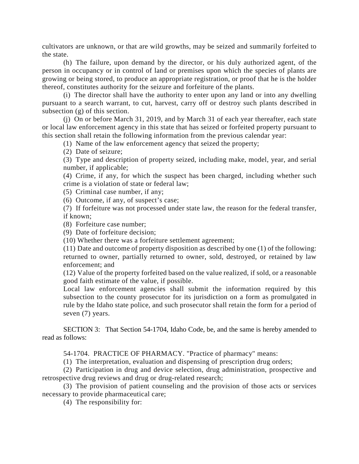cultivators are unknown, or that are wild growths, may be seized and summarily forfeited to the state.

(h) The failure, upon demand by the director, or his duly authorized agent, of the person in occupancy or in control of land or premises upon which the species of plants are growing or being stored, to produce an appropriate registration, or proof that he is the holder thereof, constitutes authority for the seizure and forfeiture of the plants.

(i) The director shall have the authority to enter upon any land or into any dwelling pursuant to a search warrant, to cut, harvest, carry off or destroy such plants described in subsection (g) of this section.

(j) On or before March 31, 2019, and by March 31 of each year thereafter, each state or local law enforcement agency in this state that has seized or forfeited property pursuant to this section shall retain the following information from the previous calendar year:

(1) Name of the law enforcement agency that seized the property;

(2) Date of seizure;

(3) Type and description of property seized, including make, model, year, and serial number, if applicable;

(4) Crime, if any, for which the suspect has been charged, including whether such crime is a violation of state or federal law;

(5) Criminal case number, if any;

(6) Outcome, if any, of suspect's case;

(7) If forfeiture was not processed under state law, the reason for the federal transfer, if known;

(8) Forfeiture case number;

(9) Date of forfeiture decision;

(10) Whether there was a forfeiture settlement agreement;

(11) Date and outcome of property disposition as described by one (1) of the following: returned to owner, partially returned to owner, sold, destroyed, or retained by law enforcement; and

(12) Value of the property forfeited based on the value realized, if sold, or a reasonable good faith estimate of the value, if possible.

Local law enforcement agencies shall submit the information required by this subsection to the county prosecutor for its jurisdiction on a form as promulgated in rule by the Idaho state police, and such prosecutor shall retain the form for a period of seven (7) years.

SECTION 3: That Section 54-1704, Idaho Code, be, and the same is hereby amended to read as follows:

54-1704. PRACTICE OF PHARMACY. "Practice of pharmacy" means:

(1) The interpretation, evaluation and dispensing of prescription drug orders;

(2) Participation in drug and device selection, drug administration, prospective and retrospective drug reviews and drug or drug-related research;

(3) The provision of patient counseling and the provision of those acts or services necessary to provide pharmaceutical care;

(4) The responsibility for: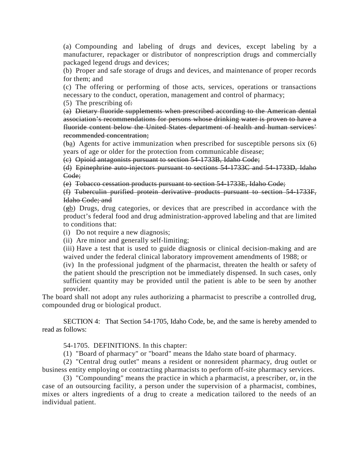(a) Compounding and labeling of drugs and devices, except labeling by a manufacturer, repackager or distributor of nonprescription drugs and commercially packaged legend drugs and devices;

(b) Proper and safe storage of drugs and devices, and maintenance of proper records for them; and

(c) The offering or performing of those acts, services, operations or transactions necessary to the conduct, operation, management and control of pharmacy;

(5) The prescribing of:

(a) Dietary fluoride supplements when prescribed according to the American dental association's recommendations for persons whose drinking water is proven to have a fluoride content below the United States department of health and human services' recommended concentration;

(ba) Agents for active immunization when prescribed for susceptible persons six (6) years of age or older for the protection from communicable disease;

(c) Opioid antagonists pursuant to section [54-1733B,](https://legislature.idaho.gov/statutesrules/idstat/Title54/T54CH17/SECT54-1733B) Idaho Code;

(d) Epinephrine auto-injectors pursuant to sections [54-1733C](https://legislature.idaho.gov/statutesrules/idstat/Title54/T54CH17/SECT54-1733C) and [54-1733D,](https://legislature.idaho.gov/statutesrules/idstat/Title54/T54CH17/SECT54-1733D) Idaho Code;

(e) Tobacco cessation products pursuant to section [54-1733E,](https://legislature.idaho.gov/statutesrules/idstat/Title54/T54CH17/SECT54-1733E) Idaho Code;

(f) Tuberculin purified protein derivative products pursuant to section [54-1733F,](https://legislature.idaho.gov/statutesrules/idstat/Title54/T54CH17/SECT54-1733F) Idaho Code; and

(gb) Drugs, drug categories, or devices that are prescribed in accordance with the product's federal food and drug administration-approved labeling and that are limited to conditions that:

(i) Do not require a new diagnosis;

(ii) Are minor and generally self-limiting;

(iii) Have a test that is used to guide diagnosis or clinical decision-making and are waived under the federal clinical laboratory improvement amendments of 1988; or

(iv) In the professional judgment of the pharmacist, threaten the health or safety of the patient should the prescription not be immediately dispensed. In such cases, only sufficient quantity may be provided until the patient is able to be seen by another provider.

The board shall not adopt any rules authorizing a pharmacist to prescribe a controlled drug, compounded drug or biological product.

SECTION 4: That Section 54-1705, Idaho Code, be, and the same is hereby amended to read as follows:

54-1705. DEFINITIONS. In this chapter:

(1) "Board of pharmacy" or "board" means the Idaho state board of pharmacy.

(2) "Central drug outlet" means a resident or nonresident pharmacy, drug outlet or business entity employing or contracting pharmacists to perform off-site pharmacy services.

(3) "Compounding" means the practice in which a pharmacist, a prescriber, or, in the case of an outsourcing facility, a person under the supervision of a pharmacist, combines, mixes or alters ingredients of a drug to create a medication tailored to the needs of an individual patient.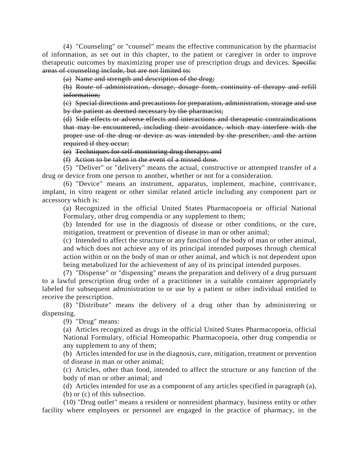(4) "Counseling" or "counsel" means the effective communication by the pharmacist of information, as set out in this chapter, to the patient or caregiver in order to improve therapeutic outcomes by maximizing proper use of prescription drugs and devices. Specific areas of counseling include, but are not limited to:

(a) Name and strength and description of the drug;

(b) Route of administration, dosage, dosage form, continuity of therapy and refill information;

(c) Special directions and precautions for preparation, administration, storage and use by the patient as deemed necessary by the pharmacist;

(d) Side effects or adverse effects and interactions and therapeutic contraindications that may be encountered, including their avoidance, which may interfere with the proper use of the drug or device as was intended by the prescriber, and the action required if they occur;

(e) Techniques for self-monitoring drug therapy; and

(f) Action to be taken in the event of a missed dose.

(5) "Deliver" or "delivery" means the actual, constructive or attempted transfer of a drug or device from one person to another, whether or not for a consideration.

(6) "Device" means an instrument, apparatus, implement, machine, contrivance, implant, in vitro reagent or other similar related article including any component part or accessory which is:

(a) Recognized in the official United States Pharmacopoeia or official National Formulary, other drug compendia or any supplement to them;

(b) Intended for use in the diagnosis of disease or other conditions, or the cure, mitigation, treatment or prevention of disease in man or other animal;

(c) Intended to affect the structure or any function of the body of man or other animal, and which does not achieve any of its principal intended purposes through chemical action within or on the body of man or other animal, and which is not dependent upon being metabolized for the achievement of any of its principal intended purposes.

(7) "Dispense" or "dispensing" means the preparation and delivery of a drug pursuant to a lawful prescription drug order of a practitioner in a suitable container appropriately labeled for subsequent administration to or use by a patient or other individual entitled to receive the prescription.

(8) "Distribute" means the delivery of a drug other than by administering or dispensing.

(9) "Drug" means:

(a) Articles recognized as drugs in the official United States Pharmacopoeia, official National Formulary, official Homeopathic Pharmacopoeia, other drug compendia or any supplement to any of them;

(b) Articles intended for use in the diagnosis, cure, mitigation, treatment or prevention of disease in man or other animal;

(c) Articles, other than food, intended to affect the structure or any function of the body of man or other animal; and

(d) Articles intended for use as a component of any articles specified in paragraph (a), (b) or (c) of this subsection.

(10) "Drug outlet" means a resident or nonresident pharmacy, business entity or other facility where employees or personnel are engaged in the practice of pharmacy, in the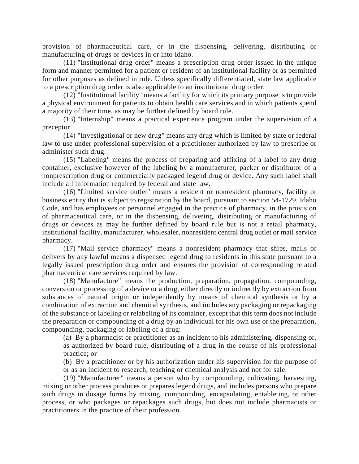provision of pharmaceutical care, or in the dispensing, delivering, distributing or manufacturing of drugs or devices in or into Idaho.

(11) "Institutional drug order" means a prescription drug order issued in the unique form and manner permitted for a patient or resident of an institutional facility or as permitted for other purposes as defined in rule. Unless specifically differentiated, state law applicable to a prescription drug order is also applicable to an institutional drug order.

(12) "Institutional facility" means a facility for which its primary purpose is to provide a physical environment for patients to obtain health care services and in which patients spend a majority of their time, as may be further defined by board rule.

(13) "Internship" means a practical experience program under the supervision of a preceptor.

(14) "Investigational or new drug" means any drug which is limited by state or federal law to use under professional supervision of a practitioner authorized by law to prescribe or administer such drug.

(15) "Labeling" means the process of preparing and affixing of a label to any drug container, exclusive however of the labeling by a manufacturer, packer or distributor of a nonprescription drug or commercially packaged legend drug or device. Any such label shall include all information required by federal and state law.

(16) "Limited service outlet" means a resident or nonresident pharmacy, facility or business entity that is subject to registration by the board, pursuant to section [54-1729,](https://legislature.idaho.gov/statutesrules/idstat/Title54/T54CH17/SECT54-1729) Idaho Code, and has employees or personnel engaged in the practice of pharmacy, in the provision of pharmaceutical care, or in the dispensing, delivering, distributing or manufacturing of drugs or devices as may be further defined by board rule but is not a retail pharmacy, institutional facility, manufacturer, wholesaler, nonresident central drug outlet or mail service pharmacy.

(17) "Mail service pharmacy" means a nonresident pharmacy that ships, mails or delivers by any lawful means a dispensed legend drug to residents in this state pursuant to a legally issued prescription drug order and ensures the provision of corresponding related pharmaceutical care services required by law.

(18) "Manufacture" means the production, preparation, propagation, compounding, conversion or processing of a device or a drug, either directly or indirectly by extraction from substances of natural origin or independently by means of chemical synthesis or by a combination of extraction and chemical synthesis, and includes any packaging or repackaging of the substance or labeling or relabeling of its container, except that this term does not include the preparation or compounding of a drug by an individual for his own use or the preparation, compounding, packaging or labeling of a drug:

(a) By a pharmacist or practitioner as an incident to his administering, dispensing or,

as authorized by board rule, distributing of a drug in the course of his professional practice; or

(b) By a practitioner or by his authorization under his supervision for the purpose of or as an incident to research, teaching or chemical analysis and not for sale.

(19) "Manufacturer" means a person who by compounding, cultivating, harvesting, mixing or other process produces or prepares legend drugs, and includes persons who prepare such drugs in dosage forms by mixing, compounding, encapsulating, entableting, or other process, or who packages or repackages such drugs, but does not include pharmacists or practitioners in the practice of their profession.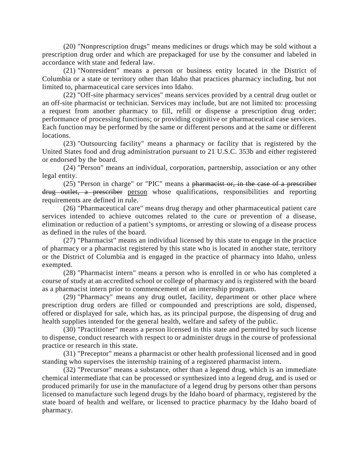(20) "Nonprescription drugs" means medicines or drugs which may be sold without a prescription drug order and which are prepackaged for use by the consumer and labeled in accordance with state and federal law.

(21) "Nonresident" means a person or business entity located in the District of Columbia or a state or territory other than Idaho that practices pharmacy including, but not limited to, pharmaceutical care services into Idaho.

(22) "Off-site pharmacy services" means services provided by a central drug outlet or an off-site pharmacist or technician. Services may include, but are not limited to: processing a request from another pharmacy to fill, refill or dispense a prescription drug order; performance of processing functions; or providing cognitive or pharmaceutical case services. Each function may be performed by the same or different persons and at the same or different locations.

(23) "Outsourcing facility" means a pharmacy or facility that is registered by the United States food and drug administration pursuant to 21 U.S.C. 353b and either registered or endorsed by the board.

(24) "Person" means an individual, corporation, partnership, association or any other legal entity.

(25) "Person in charge" or "PIC" means a pharmacist or, in the case of a prescriber drug outlet, a prescriber person whose qualifications, responsibilities and reporting requirements are defined in rule.

(26) "Pharmaceutical care" means drug therapy and other pharmaceutical patient care services intended to achieve outcomes related to the cure or prevention of a disease, elimination or reduction of a patient's symptoms, or arresting or slowing of a disease process as defined in the rules of the board.

(27) "Pharmacist" means an individual licensed by this state to engage in the practice of pharmacy or a pharmacist registered by this state who is located in another state, territory or the District of Columbia and is engaged in the practice of pharmacy into Idaho, unless exempted.

(28) "Pharmacist intern" means a person who is enrolled in or who has completed a course of study at an accredited school or college of pharmacy and is registered with the board as a pharmacist intern prior to commencement of an internship program.

(29) "Pharmacy" means any drug outlet, facility, department or other place where prescription drug orders are filled or compounded and prescriptions are sold, dispensed, offered or displayed for sale, which has, as its principal purpose, the dispensing of drug and health supplies intended for the general health, welfare and safety of the public.

(30) "Practitioner" means a person licensed in this state and permitted by such license to dispense, conduct research with respect to or administer drugs in the course of professional practice or research in this state.

(31) "Preceptor" means a pharmacist or other health professional licensed and in good standing who supervises the internship training of a registered pharmacist intern.

(32) "Precursor" means a substance, other than a legend drug, which is an immediate chemical intermediate that can be processed or synthesized into a legend drug, and is used or produced primarily for use in the manufacture of a legend drug by persons other than persons licensed to manufacture such legend drugs by the Idaho board of pharmacy, registered by the state board of health and welfare, or licensed to practice pharmacy by the Idaho board of pharmacy.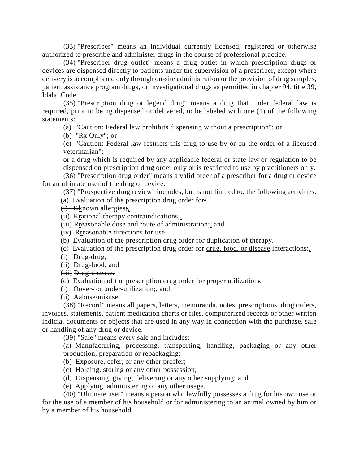(33) "Prescriber" means an individual currently licensed, registered or otherwise authorized to prescribe and administer drugs in the course of professional practice.

(34) "Prescriber drug outlet" means a drug outlet in which prescription drugs or devices are dispensed directly to patients under the supervision of a prescriber, except where delivery is accomplished only through on-site administration or the provision of drug samples, patient assistance program drugs, or investigational drugs as permitted in [chapter 94, title 39,](https://legislature.idaho.gov/statutesrules/idstat/Title39/T39CH94) Idaho Code.

(35) "Prescription drug or legend drug" means a drug that under federal law is required, prior to being dispensed or delivered, to be labeled with one (1) of the following statements:

(a) "Caution: Federal law prohibits dispensing without a prescription"; or

(b) "Rx Only"; or

(c) "Caution: Federal law restricts this drug to use by or on the order of a licensed veterinarian";

or a drug which is required by any applicable federal or state law or regulation to be dispensed on prescription drug order only or is restricted to use by practitioners only.

(36) "Prescription drug order" means a valid order of a prescriber for a drug or device for an ultimate user of the drug or device.

(37) "Prospective drug review" includes, but is not limited to, the following activities: (a) Evaluation of the prescription drug order for $\div$ 

 $(i)$  Kknown allergies;

 $(ii)$  Residential therapy contraindications;

(iii) Rreasonable dose and route of administration;, and

(iv) Rreasonable directions for use.

(b) Evaluation of the prescription drug order for duplication of therapy.

(c) Evaluation of the prescription drug order for drug, food, or disease interactions $\div$ .

- (i) Drug-drug;
- (ii) Drug-food; and

(iii) Drug-disease.

(d) Evaluation of the prescription drug order for proper utilization.

(i) Oover- or under-utilization;, and

(ii) Aabuse/misuse.

(38) "Record" means all papers, letters, memoranda, notes, prescriptions, drug orders, invoices, statements, patient medication charts or files, computerized records or other written indicia, documents or objects that are used in any way in connection with the purchase, sale or handling of any drug or device.

(39) "Sale" means every sale and includes:

(a) Manufacturing, processing, transporting, handling, packaging or any other production, preparation or repackaging;

- (b) Exposure, offer, or any other proffer;
- (c) Holding, storing or any other possession;
- (d) Dispensing, giving, delivering or any other supplying; and
- (e) Applying, administering or any other usage.

(40) "Ultimate user" means a person who lawfully possesses a drug for his own use or for the use of a member of his household or for administering to an animal owned by him or by a member of his household.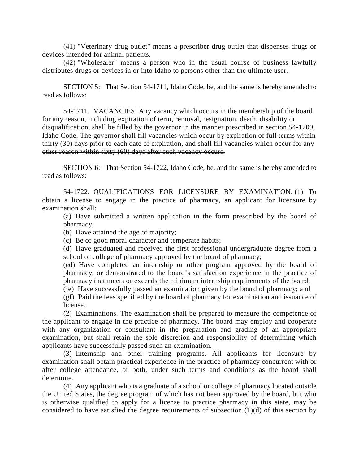(41) "Veterinary drug outlet" means a prescriber drug outlet that dispenses drugs or devices intended for animal patients.

(42) "Wholesaler" means a person who in the usual course of business lawfully distributes drugs or devices in or into Idaho to persons other than the ultimate user.

SECTION 5: That Section 54-1711, Idaho Code, be, and the same is hereby amended to read as follows:

54-1711. VACANCIES. Any vacancy which occurs in the membership of the board for any reason, including expiration of term, removal, resignation, death, disability or disqualification, shall be filled by the governor in the manner prescribed in section [54-1709,](https://legislature.idaho.gov/statutesrules/idstat/Title54/T54CH17/SECT54-1709) Idaho Code. The governor shall fill vacancies which occur by expiration of full terms within thirty (30) days prior to each date of expiration, and shall fill vacancies which occur for any other reason within sixty (60) days after such vacancy occurs.

SECTION 6: That Section 54-1722, Idaho Code, be, and the same is hereby amended to read as follows:

54-1722. QUALIFICATIONS FOR LICENSURE BY EXAMINATION. (1) To obtain a license to engage in the practice of pharmacy, an applicant for licensure by examination shall:

(a) Have submitted a written application in the form prescribed by the board of pharmacy;

(b) Have attained the age of majority;

(c) Be of good moral character and temperate habits;

(d) Have graduated and received the first professional undergraduate degree from a school or college of pharmacy approved by the board of pharmacy;

(ed) Have completed an internship or other program approved by the board of pharmacy, or demonstrated to the board's satisfaction experience in the practice of pharmacy that meets or exceeds the minimum internship requirements of the board;

(fe) Have successfully passed an examination given by the board of pharmacy; and

(gf) Paid the fees specified by the board of pharmacy for examination and issuance of license.

(2) Examinations. The examination shall be prepared to measure the competence of the applicant to engage in the practice of pharmacy. The board may employ and cooperate with any organization or consultant in the preparation and grading of an appropriate examination, but shall retain the sole discretion and responsibility of determining which applicants have successfully passed such an examination.

(3) Internship and other training programs. All applicants for licensure by examination shall obtain practical experience in the practice of pharmacy concurrent with or after college attendance, or both, under such terms and conditions as the board shall determine.

(4) Any applicant who is a graduate of a school or college of pharmacy located outside the United States, the degree program of which has not been approved by the board, but who is otherwise qualified to apply for a license to practice pharmacy in this state, may be considered to have satisfied the degree requirements of subsection (1)(d) of this section by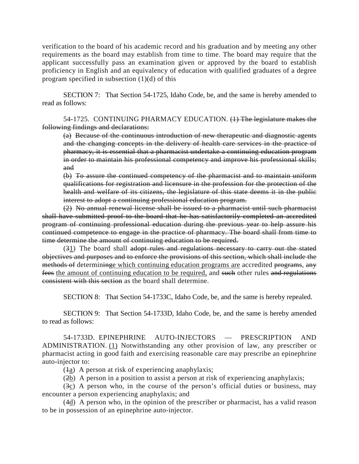verification to the board of his academic record and his graduation and by meeting any other requirements as the board may establish from time to time. The board may require that the applicant successfully pass an examination given or approved by the board to establish proficiency in English and an equivalency of education with qualified graduates of a degree program specified in subsection (1)(d) of this

SECTION 7: That Section 54-1725, Idaho Code, be, and the same is hereby amended to read as follows:

54-1725. CONTINUING PHARMACY EDUCATION. (1) The legislature makes the following findings and declarations:

(a) Because of the continuous introduction of new therapeutic and diagnostic agents and the changing concepts in the delivery of health care services in the practice of pharmacy, it is essential that a pharmacist undertake a continuing education program in order to maintain his professional competency and improve his professional skills; and

(b) To assure the continued competency of the pharmacist and to maintain uniform qualifications for registration and licensure in the profession for the protection of the health and welfare of its citizens, the legislature of this state deems it in the public interest to adopt a continuing professional education program.

(2) No annual renewal license shall be issued to a pharmacist until such pharmacist shall have submitted proof to the board that he has satisfactorily completed an accredited program of continuing professional education during the previous year to help assure his continued competence to engage in the practice of pharmacy. The board shall from time to time determine the amount of continuing education to be required.

(31) The board shall adopt rules and regulations necessary to carry out the stated objectives and purposes and to enforce the provisions of this section, which shall include the methods of determining which continuing education programs are accredited programs, any fees the amount of continuing education to be required, and such other rules and regulations consistent with this section as the board shall determine.

SECTION 8: That Section 54-1733C, Idaho Code, be, and the same is hereby repealed.

SECTION 9: That Section 54-1733D, Idaho Code, be, and the same is hereby amended to read as follows:

54-1733D. EPINEPHRINE AUTO-INJECTORS — PRESCRIPTION AND ADMINISTRATION. (1) Notwithstanding any other provision of law, any prescriber or pharmacist acting in good faith and exercising reasonable care may prescribe an epinephrine auto-injector to:

 $(1a)$  A person at risk of experiencing anaphylaxis;

(2b) A person in a position to assist a person at risk of experiencing anaphylaxis;

(3c) A person who, in the course of the person's official duties or business, may encounter a person experiencing anaphylaxis; and

(4d) A person who, in the opinion of the prescriber or pharmacist, has a valid reason to be in possession of an epinephrine auto-injector.